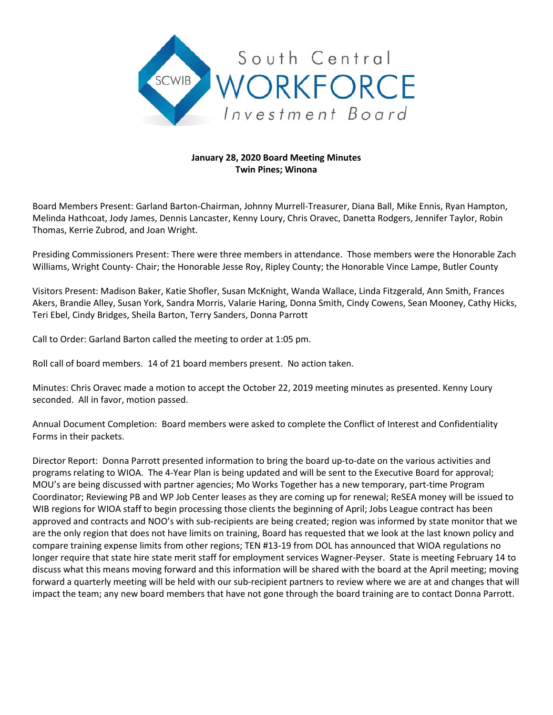

## **January 28, 2020 Board Meeting Minutes Twin Pines; Winona**

Board Members Present: Garland Barton-Chairman, Johnny Murrell-Treasurer, Diana Ball, Mike Ennis, Ryan Hampton, Melinda Hathcoat, Jody James, Dennis Lancaster, Kenny Loury, Chris Oravec, Danetta Rodgers, Jennifer Taylor, Robin Thomas, Kerrie Zubrod, and Joan Wright.

Presiding Commissioners Present: There were three members in attendance. Those members were the Honorable Zach Williams, Wright County- Chair; the Honorable Jesse Roy, Ripley County; the Honorable Vince Lampe, Butler County

Visitors Present: Madison Baker, Katie Shofler, Susan McKnight, Wanda Wallace, Linda Fitzgerald, Ann Smith, Frances Akers, Brandie Alley, Susan York, Sandra Morris, Valarie Haring, Donna Smith, Cindy Cowens, Sean Mooney, Cathy Hicks, Teri Ebel, Cindy Bridges, Sheila Barton, Terry Sanders, Donna Parrott

Call to Order: Garland Barton called the meeting to order at 1:05 pm.

Roll call of board members. 14 of 21 board members present. No action taken.

Minutes: Chris Oravec made a motion to accept the October 22, 2019 meeting minutes as presented. Kenny Loury seconded. All in favor, motion passed.

Annual Document Completion: Board members were asked to complete the Conflict of Interest and Confidentiality Forms in their packets.

Director Report: Donna Parrott presented information to bring the board up-to-date on the various activities and programs relating to WIOA. The 4-Year Plan is being updated and will be sent to the Executive Board for approval; MOU's are being discussed with partner agencies; Mo Works Together has a new temporary, part-time Program Coordinator; Reviewing PB and WP Job Center leases as they are coming up for renewal; ReSEA money will be issued to WIB regions for WIOA staff to begin processing those clients the beginning of April; Jobs League contract has been approved and contracts and NOO's with sub-recipients are being created; region was informed by state monitor that we are the only region that does not have limits on training, Board has requested that we look at the last known policy and compare training expense limits from other regions; TEN #13-19 from DOL has announced that WIOA regulations no longer require that state hire state merit staff for employment services Wagner-Peyser. State is meeting February 14 to discuss what this means moving forward and this information will be shared with the board at the April meeting; moving forward a quarterly meeting will be held with our sub-recipient partners to review where we are at and changes that will impact the team; any new board members that have not gone through the board training are to contact Donna Parrott.